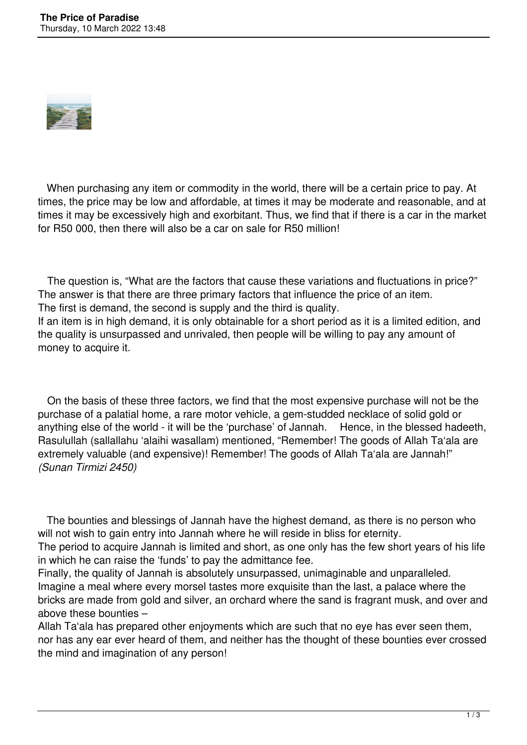

 When purchasing any item or commodity in the world, there will be a certain price to pay. At times, the price may be low and affordable, at times it may be moderate and reasonable, and at times it may be excessively high and exorbitant. Thus, we find that if there is a car in the market for R50 000, then there will also be a car on sale for R50 million!

 The question is, "What are the factors that cause these variations and fluctuations in price?" The answer is that there are three primary factors that influence the price of an item. The first is demand, the second is supply and the third is quality. If an item is in high demand, it is only obtainable for a short period as it is a limited edition, and the quality is unsurpassed and unrivaled, then people will be willing to pay any amount of money to acquire it.

 On the basis of these three factors, we find that the most expensive purchase will not be the purchase of a palatial home, a rare motor vehicle, a gem-studded necklace of solid gold or anything else of the world - it will be the 'purchase' of Jannah. Hence, in the blessed hadeeth, Rasulullah (sallallahu 'alaihi wasallam) mentioned, "Remember! The goods of Allah Ta'ala are extremely valuable (and expensive)! Remember! The goods of Allah Ta'ala are Jannah!" *(Sunan Tirmizi 2450)*

 The bounties and blessings of Jannah have the highest demand, as there is no person who will not wish to gain entry into Jannah where he will reside in bliss for eternity.

The period to acquire Jannah is limited and short, as one only has the few short years of his life in which he can raise the 'funds' to pay the admittance fee.

Finally, the quality of Jannah is absolutely unsurpassed, unimaginable and unparalleled. Imagine a meal where every morsel tastes more exquisite than the last, a palace where the bricks are made from gold and silver, an orchard where the sand is fragrant musk, and over and above these bounties –

Allah Ta'ala has prepared other enjoyments which are such that no eye has ever seen them, nor has any ear ever heard of them, and neither has the thought of these bounties ever crossed the mind and imagination of any person!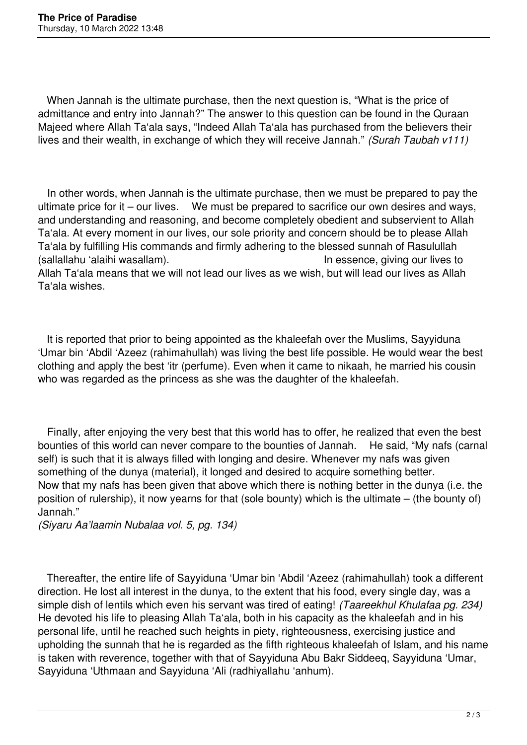When Jannah is the ultimate purchase, then the next question is, "What is the price of admittance and entry into Jannah?" The answer to this question can be found in the Quraan Majeed where Allah Ta'ala says, "Indeed Allah Ta'ala has purchased from the believers their lives and their wealth, in exchange of which they will receive Jannah." *(Surah Taubah v111)*

 In other words, when Jannah is the ultimate purchase, then we must be prepared to pay the ultimate price for it – our lives. We must be prepared to sacrifice our own desires and ways, and understanding and reasoning, and become completely obedient and subservient to Allah Ta'ala. At every moment in our lives, our sole priority and concern should be to please Allah Ta'ala by fulfilling His commands and firmly adhering to the blessed sunnah of Rasulullah (sallallahu 'alaihi wasallam). In essence, giving our lives to Allah Ta'ala means that we will not lead our lives as we wish, but will lead our lives as Allah Ta'ala wishes.

 It is reported that prior to being appointed as the khaleefah over the Muslims, Sayyiduna 'Umar bin 'Abdil 'Azeez (rahimahullah) was living the best life possible. He would wear the best clothing and apply the best 'itr (perfume). Even when it came to nikaah, he married his cousin who was regarded as the princess as she was the daughter of the khaleefah.

 Finally, after enjoying the very best that this world has to offer, he realized that even the best bounties of this world can never compare to the bounties of Jannah. He said, "My nafs (carnal self) is such that it is always filled with longing and desire. Whenever my nafs was given something of the dunya (material), it longed and desired to acquire something better. Now that my nafs has been given that above which there is nothing better in the dunya (i.e. the position of rulership), it now yearns for that (sole bounty) which is the ultimate – (the bounty of) Jannah."

*(Siyaru Aa'laamin Nubalaa vol. 5, pg. 134)*

 Thereafter, the entire life of Sayyiduna 'Umar bin 'Abdil 'Azeez (rahimahullah) took a different direction. He lost all interest in the dunya, to the extent that his food, every single day, was a simple dish of lentils which even his servant was tired of eating! *(Taareekhul Khulafaa pg. 234)* He devoted his life to pleasing Allah Ta'ala, both in his capacity as the khaleefah and in his personal life, until he reached such heights in piety, righteousness, exercising justice and upholding the sunnah that he is regarded as the fifth righteous khaleefah of Islam, and his name is taken with reverence, together with that of Sayyiduna Abu Bakr Siddeeq, Sayyiduna 'Umar, Sayyiduna 'Uthmaan and Sayyiduna 'Ali (radhiyallahu 'anhum).